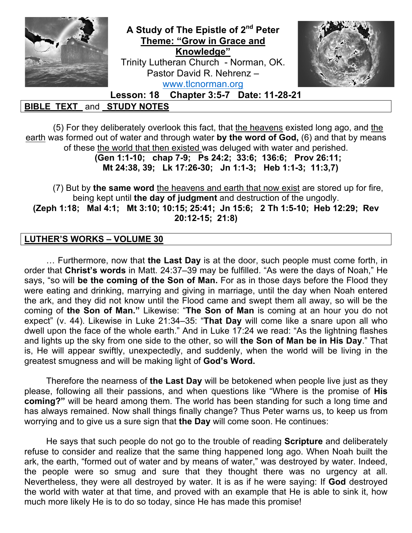

(5) For they deliberately overlook this fact, that the heavens existed long ago, and the earth was formed out of water and through water **by the word of God,** (6) and that by means of these the world that then existed was deluged with water and perished. **(Gen 1:1-10; chap 7-9; Ps 24:2; 33:6; 136:6; Prov 26:11;** 

**Mt 24:38, 39; Lk 17:26-30; Jn 1:1-3; Heb 1:1-3; 11:3,7)**

(7) But by **the same word** the heavens and earth that now exist are stored up for fire, being kept until **the day of judgment** and destruction of the ungodly. **(Zeph 1:18; Mal 4:1; Mt 3:10; 10:15; 25:41; Jn 15:6; 2 Th 1:5-10; Heb 12:29; Rev 20:12-15; 21:8)**

## **LUTHER'S WORKS – VOLUME 30**

 … Furthermore, now that **the Last Day** is at the door, such people must come forth, in order that **Christ's words** in Matt. 24:37–39 may be fulfilled. "As were the days of Noah," He says, "so will **be the coming of the Son of Man.** For as in those days before the Flood they were eating and drinking, marrying and giving in marriage, until the day when Noah entered the ark, and they did not know until the Flood came and swept them all away, so will be the coming of **the Son of Man."** Likewise: "**The Son of Man** is coming at an hour you do not expect" (v. 44). Likewise in Luke 21:34–35: "**That Day** will come like a snare upon all who dwell upon the face of the whole earth." And in Luke 17:24 we read: "As the lightning flashes and lights up the sky from one side to the other, so will **the Son of Man be in His Day**." That is, He will appear swiftly, unexpectedly, and suddenly, when the world will be living in the greatest smugness and will be making light of **God's Word.**

 Therefore the nearness of **the Last Day** will be betokened when people live just as they please, following all their passions, and when questions like "Where is the promise of **His coming?"** will be heard among them. The world has been standing for such a long time and has always remained. Now shall things finally change? Thus Peter warns us, to keep us from worrying and to give us a sure sign that **the Day** will come soon. He continues:

 He says that such people do not go to the trouble of reading **Scripture** and deliberately refuse to consider and realize that the same thing happened long ago. When Noah built the ark, the earth, "formed out of water and by means of water," was destroyed by water. Indeed, the people were so smug and sure that they thought there was no urgency at all. Nevertheless, they were all destroyed by water. It is as if he were saying: If **God** destroyed the world with water at that time, and proved with an example that He is able to sink it, how much more likely He is to do so today, since He has made this promise!